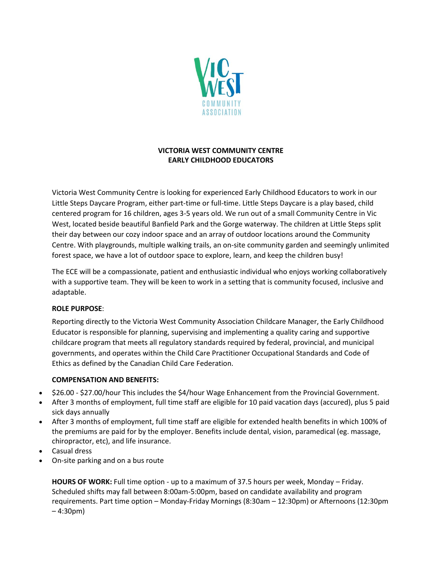

# **VICTORIA WEST COMMUNITY CENTRE EARLY CHILDHOOD EDUCATORS**

Victoria West Community Centre is looking for experienced Early Childhood Educators to work in our Little Steps Daycare Program, either part-time or full-time. Little Steps Daycare is a play based, child centered program for 16 children, ages 3-5 years old. We run out of a small Community Centre in Vic West, located beside beautiful Banfield Park and the Gorge waterway. The children at Little Steps split their day between our cozy indoor space and an array of outdoor locations around the Community Centre. With playgrounds, multiple walking trails, an on-site community garden and seemingly unlimited forest space, we have a lot of outdoor space to explore, learn, and keep the children busy!

The ECE will be a compassionate, patient and enthusiastic individual who enjoys working collaboratively with a supportive team. They will be keen to work in a setting that is community focused, inclusive and adaptable.

#### **ROLE PURPOSE**:

Reporting directly to the Victoria West Community Association Childcare Manager, the Early Childhood Educator is responsible for planning, supervising and implementing a quality caring and supportive childcare program that meets all regulatory standards required by federal, provincial, and municipal governments, and operates within the Child Care Practitioner Occupational Standards and Code of Ethics as defined by the Canadian Child Care Federation.

## **COMPENSATION AND BENEFITS:**

- \$26.00 \$27.00/hour This includes the \$4/hour Wage Enhancement from the Provincial Government.
- After 3 months of employment, full time staff are eligible for 10 paid vacation days (accured), plus 5 paid sick days annually
- After 3 months of employment, full time staff are eligible for extended health benefits in which 100% of the premiums are paid for by the employer. Benefits include dental, vision, paramedical (eg. massage, chiropractor, etc), and life insurance.
- Casual dress
- On-site parking and on a bus route

**HOURS OF WORK:** Full time option - up to a maximum of 37.5 hours per week, Monday – Friday. Scheduled shifts may fall between 8:00am-5:00pm, based on candidate availability and program requirements. Part time option – Monday-Friday Mornings (8:30am – 12:30pm) or Afternoons (12:30pm – 4:30pm)